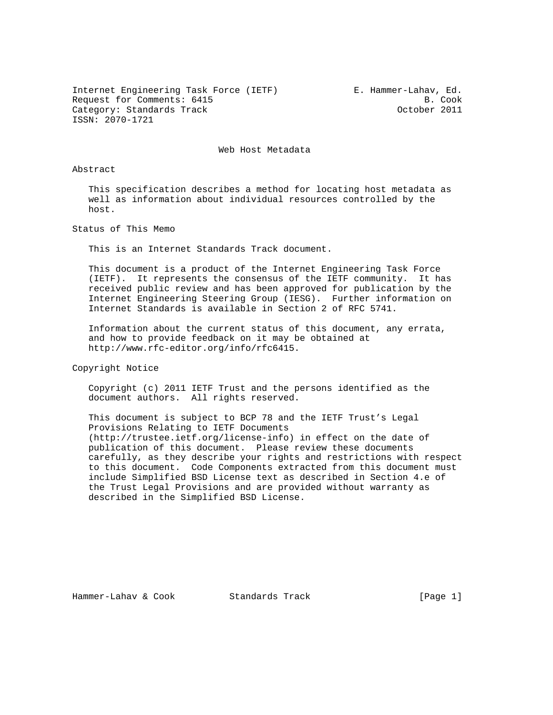Internet Engineering Task Force (IETF) E. Hammer-Lahav, Ed. Request for Comments: 6415 B. Cook Category: Standards Track Category: Standards Track ISSN: 2070-1721

Web Host Metadata

# Abstract

 This specification describes a method for locating host metadata as well as information about individual resources controlled by the host.

Status of This Memo

This is an Internet Standards Track document.

 This document is a product of the Internet Engineering Task Force (IETF). It represents the consensus of the IETF community. It has received public review and has been approved for publication by the Internet Engineering Steering Group (IESG). Further information on Internet Standards is available in Section 2 of RFC 5741.

 Information about the current status of this document, any errata, and how to provide feedback on it may be obtained at http://www.rfc-editor.org/info/rfc6415.

Copyright Notice

 Copyright (c) 2011 IETF Trust and the persons identified as the document authors. All rights reserved.

 This document is subject to BCP 78 and the IETF Trust's Legal Provisions Relating to IETF Documents (http://trustee.ietf.org/license-info) in effect on the date of publication of this document. Please review these documents carefully, as they describe your rights and restrictions with respect to this document. Code Components extracted from this document must include Simplified BSD License text as described in Section 4.e of the Trust Legal Provisions and are provided without warranty as described in the Simplified BSD License.

Hammer-Lahav & Cook Standards Track [Page 1]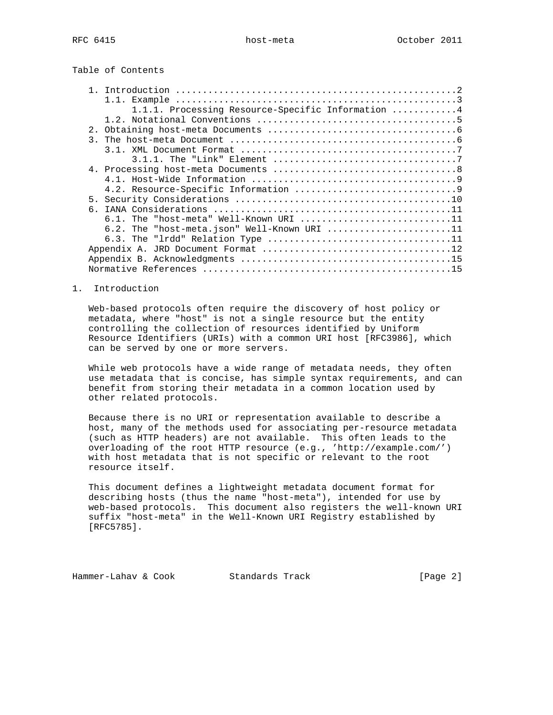|  |  | Table of Contents |
|--|--|-------------------|
|--|--|-------------------|

| 1.1.1. Processing Resource-Specific Information 4 |  |
|---------------------------------------------------|--|
|                                                   |  |
| 2.1                                               |  |
| $\mathcal{R}$                                     |  |
|                                                   |  |
|                                                   |  |
|                                                   |  |
|                                                   |  |
|                                                   |  |
| 5.                                                |  |
|                                                   |  |
| $6.1.$ The "host-meta" Well-Known URI 11          |  |
| 6.2. The "host-meta.json" Well-Known URI 11       |  |
|                                                   |  |
|                                                   |  |
|                                                   |  |
|                                                   |  |
|                                                   |  |

# 1. Introduction

 Web-based protocols often require the discovery of host policy or metadata, where "host" is not a single resource but the entity controlling the collection of resources identified by Uniform Resource Identifiers (URIs) with a common URI host [RFC3986], which can be served by one or more servers.

 While web protocols have a wide range of metadata needs, they often use metadata that is concise, has simple syntax requirements, and can benefit from storing their metadata in a common location used by other related protocols.

 Because there is no URI or representation available to describe a host, many of the methods used for associating per-resource metadata (such as HTTP headers) are not available. This often leads to the overloading of the root HTTP resource (e.g., 'http://example.com/') with host metadata that is not specific or relevant to the root resource itself.

 This document defines a lightweight metadata document format for describing hosts (thus the name "host-meta"), intended for use by web-based protocols. This document also registers the well-known URI suffix "host-meta" in the Well-Known URI Registry established by [RFC5785].

Hammer-Lahav & Cook Standards Track [Page 2]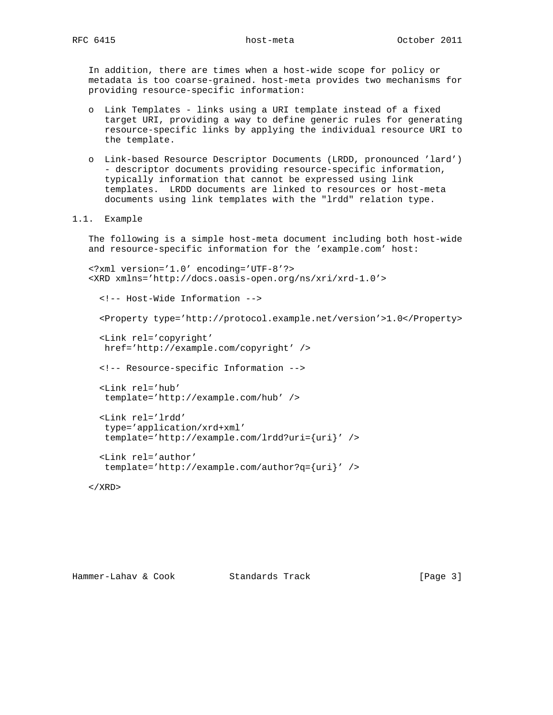In addition, there are times when a host-wide scope for policy or metadata is too coarse-grained. host-meta provides two mechanisms for providing resource-specific information:

- o Link Templates links using a URI template instead of a fixed target URI, providing a way to define generic rules for generating resource-specific links by applying the individual resource URI to the template.
- o Link-based Resource Descriptor Documents (LRDD, pronounced 'lard') - descriptor documents providing resource-specific information, typically information that cannot be expressed using link templates. LRDD documents are linked to resources or host-meta documents using link templates with the "lrdd" relation type.
- 1.1. Example

 The following is a simple host-meta document including both host-wide and resource-specific information for the 'example.com' host:

```
 <?xml version='1.0' encoding='UTF-8'?>
 <XRD xmlns='http://docs.oasis-open.org/ns/xri/xrd-1.0'>
   <!-- Host-Wide Information -->
   <Property type='http://protocol.example.net/version'>1.0</Property>
   <Link rel='copyright'
   href='http://example.com/copyright' />
   <!-- Resource-specific Information -->
   <Link rel='hub'
   template='http://example.com/hub' />
   <Link rel='lrdd'
    type='application/xrd+xml'
    template='http://example.com/lrdd?uri={uri}' />
   <Link rel='author'
    template='http://example.com/author?q={uri}' />
```
# $\langle$  / XRD $\rangle$

Hammer-Lahav & Cook Standards Track [Page 3]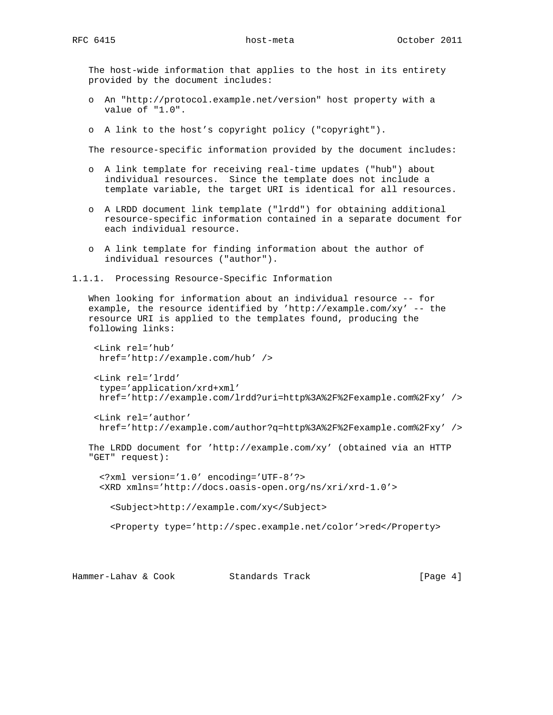The host-wide information that applies to the host in its entirety provided by the document includes:

- o An "http://protocol.example.net/version" host property with a value of "1.0".
- o A link to the host's copyright policy ("copyright").

The resource-specific information provided by the document includes:

- o A link template for receiving real-time updates ("hub") about individual resources. Since the template does not include a template variable, the target URI is identical for all resources.
- o A LRDD document link template ("lrdd") for obtaining additional resource-specific information contained in a separate document for each individual resource.
- o A link template for finding information about the author of individual resources ("author").
- 1.1.1. Processing Resource-Specific Information

 When looking for information about an individual resource -- for example, the resource identified by 'http://example.com/xy' -- the resource URI is applied to the templates found, producing the following links:

```
 <Link rel='hub'
 href='http://example.com/hub' />
 <Link rel='lrdd'
 type='application/xrd+xml'
 href='http://example.com/lrdd?uri=http%3A%2F%2Fexample.com%2Fxy' />
```

```
 <Link rel='author'
 href='http://example.com/author?q=http%3A%2F%2Fexample.com%2Fxy' />
```

```
 The LRDD document for 'http://example.com/xy' (obtained via an HTTP
 "GET" request):
```
 <?xml version='1.0' encoding='UTF-8'?> <XRD xmlns='http://docs.oasis-open.org/ns/xri/xrd-1.0'>

<Subject>http://example.com/xy</Subject>

<Property type='http://spec.example.net/color'>red</Property>

Hammer-Lahav & Cook Standards Track (Page 4)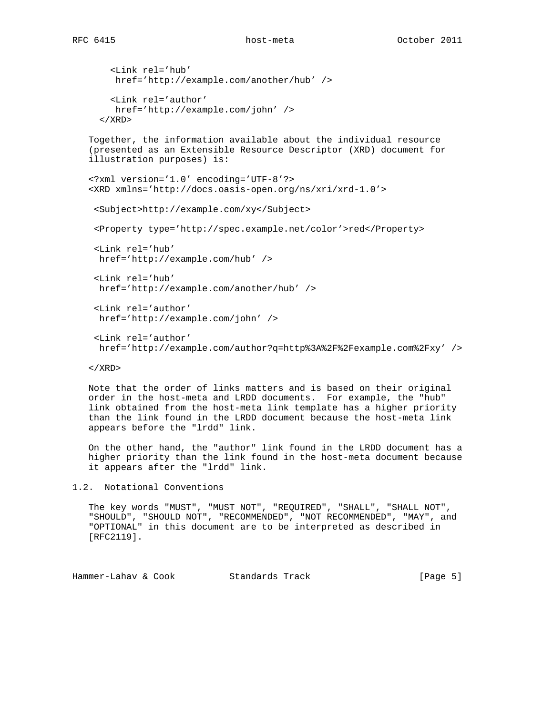```
RFC 6415 host-meta host-meta October 2011
```

```
 <Link rel='hub'
     href='http://example.com/another/hub' />
     <Link rel='author'
     href='http://example.com/john' />
  \langle / XRD\rangle Together, the information available about the individual resource
 (presented as an Extensible Resource Descriptor (XRD) document for
 illustration purposes) is:
 <?xml version='1.0' encoding='UTF-8'?>
 <XRD xmlns='http://docs.oasis-open.org/ns/xri/xrd-1.0'>
  <Subject>http://example.com/xy</Subject>
  <Property type='http://spec.example.net/color'>red</Property>
  <Link rel='hub'
  href='http://example.com/hub' />
  <Link rel='hub'
  href='http://example.com/another/hub' />
  <Link rel='author'
  href='http://example.com/john' />
  <Link rel='author'
  href='http://example.com/author?q=http%3A%2F%2Fexample.com%2Fxy' />
```
 $\langle$  / XRD $\rangle$ 

 Note that the order of links matters and is based on their original order in the host-meta and LRDD documents. For example, the "hub" link obtained from the host-meta link template has a higher priority than the link found in the LRDD document because the host-meta link appears before the "lrdd" link.

 On the other hand, the "author" link found in the LRDD document has a higher priority than the link found in the host-meta document because it appears after the "lrdd" link.

1.2. Notational Conventions

 The key words "MUST", "MUST NOT", "REQUIRED", "SHALL", "SHALL NOT", "SHOULD", "SHOULD NOT", "RECOMMENDED", "NOT RECOMMENDED", "MAY", and "OPTIONAL" in this document are to be interpreted as described in [RFC2119].

Hammer-Lahav & Cook Standards Track (Page 5)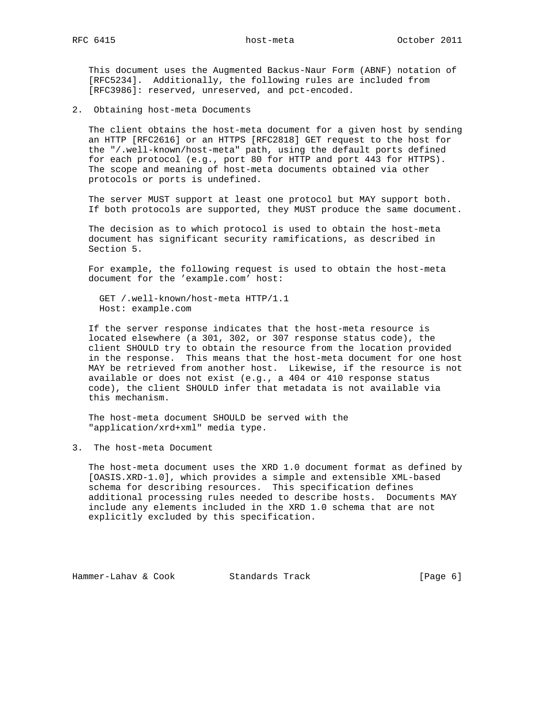This document uses the Augmented Backus-Naur Form (ABNF) notation of [RFC5234]. Additionally, the following rules are included from [RFC3986]: reserved, unreserved, and pct-encoded.

2. Obtaining host-meta Documents

 The client obtains the host-meta document for a given host by sending an HTTP [RFC2616] or an HTTPS [RFC2818] GET request to the host for the "/.well-known/host-meta" path, using the default ports defined for each protocol (e.g., port 80 for HTTP and port 443 for HTTPS). The scope and meaning of host-meta documents obtained via other protocols or ports is undefined.

 The server MUST support at least one protocol but MAY support both. If both protocols are supported, they MUST produce the same document.

 The decision as to which protocol is used to obtain the host-meta document has significant security ramifications, as described in Section 5.

 For example, the following request is used to obtain the host-meta document for the 'example.com' host:

 GET /.well-known/host-meta HTTP/1.1 Host: example.com

 If the server response indicates that the host-meta resource is located elsewhere (a 301, 302, or 307 response status code), the client SHOULD try to obtain the resource from the location provided in the response. This means that the host-meta document for one host MAY be retrieved from another host. Likewise, if the resource is not available or does not exist (e.g., a 404 or 410 response status code), the client SHOULD infer that metadata is not available via this mechanism.

 The host-meta document SHOULD be served with the "application/xrd+xml" media type.

3. The host-meta Document

 The host-meta document uses the XRD 1.0 document format as defined by [OASIS.XRD-1.0], which provides a simple and extensible XML-based schema for describing resources. This specification defines additional processing rules needed to describe hosts. Documents MAY include any elements included in the XRD 1.0 schema that are not explicitly excluded by this specification.

Hammer-Lahav & Cook Standards Track (Page 6)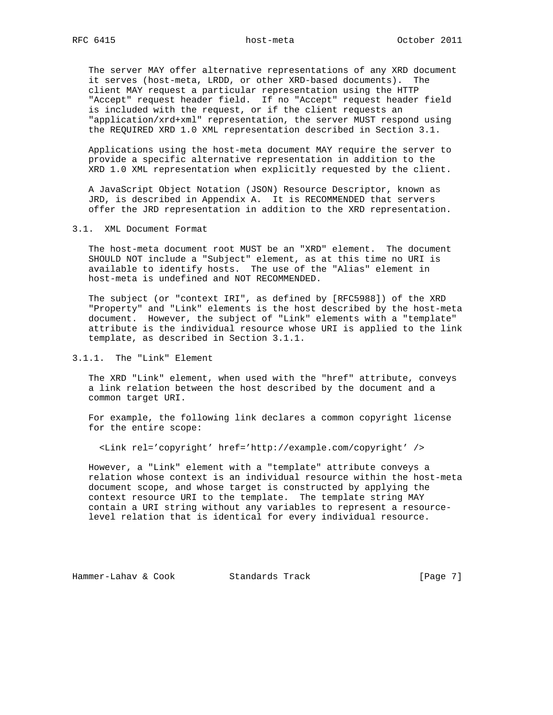The server MAY offer alternative representations of any XRD document it serves (host-meta, LRDD, or other XRD-based documents). The client MAY request a particular representation using the HTTP "Accept" request header field. If no "Accept" request header field is included with the request, or if the client requests an "application/xrd+xml" representation, the server MUST respond using the REQUIRED XRD 1.0 XML representation described in Section 3.1.

 Applications using the host-meta document MAY require the server to provide a specific alternative representation in addition to the XRD 1.0 XML representation when explicitly requested by the client.

 A JavaScript Object Notation (JSON) Resource Descriptor, known as JRD, is described in Appendix A. It is RECOMMENDED that servers offer the JRD representation in addition to the XRD representation.

3.1. XML Document Format

 The host-meta document root MUST be an "XRD" element. The document SHOULD NOT include a "Subject" element, as at this time no URI is available to identify hosts. The use of the "Alias" element in host-meta is undefined and NOT RECOMMENDED.

 The subject (or "context IRI", as defined by [RFC5988]) of the XRD "Property" and "Link" elements is the host described by the host-meta document. However, the subject of "Link" elements with a "template" attribute is the individual resource whose URI is applied to the link template, as described in Section 3.1.1.

3.1.1. The "Link" Element

 The XRD "Link" element, when used with the "href" attribute, conveys a link relation between the host described by the document and a common target URI.

 For example, the following link declares a common copyright license for the entire scope:

<Link rel='copyright' href='http://example.com/copyright' />

 However, a "Link" element with a "template" attribute conveys a relation whose context is an individual resource within the host-meta document scope, and whose target is constructed by applying the context resource URI to the template. The template string MAY contain a URI string without any variables to represent a resource level relation that is identical for every individual resource.

Hammer-Lahav & Cook Standards Track [Page 7]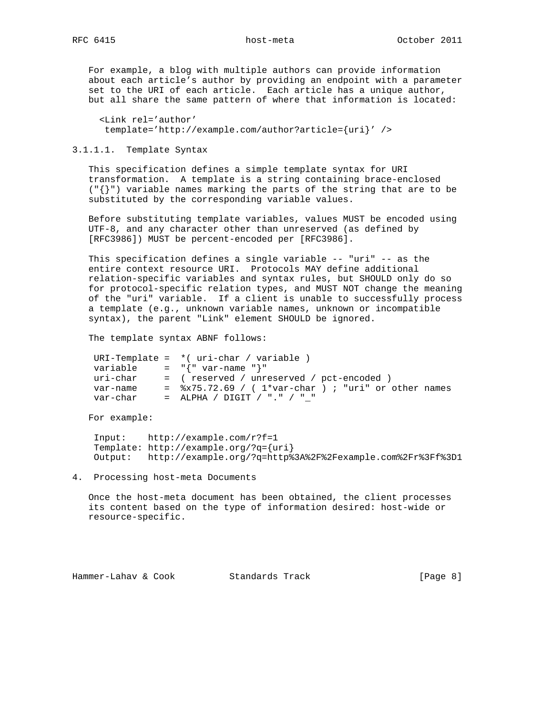For example, a blog with multiple authors can provide information about each article's author by providing an endpoint with a parameter set to the URI of each article. Each article has a unique author, but all share the same pattern of where that information is located:

 <Link rel='author' template='http://example.com/author?article={uri}' />

3.1.1.1. Template Syntax

 This specification defines a simple template syntax for URI transformation. A template is a string containing brace-enclosed ("{}") variable names marking the parts of the string that are to be substituted by the corresponding variable values.

 Before substituting template variables, values MUST be encoded using UTF-8, and any character other than unreserved (as defined by [RFC3986]) MUST be percent-encoded per [RFC3986].

 This specification defines a single variable -- "uri" -- as the entire context resource URI. Protocols MAY define additional relation-specific variables and syntax rules, but SHOULD only do so for protocol-specific relation types, and MUST NOT change the meaning of the "uri" variable. If a client is unable to successfully process a template (e.g., unknown variable names, unknown or incompatible syntax), the parent "Link" element SHOULD be ignored.

The template syntax ABNF follows:

|          | URI-Template = $*($ uri-char / variable $)$                                    |
|----------|--------------------------------------------------------------------------------|
| variable | = $"\{ " var-name " }"$                                                        |
| uri-char | = (reserved / unreserved / pct-encoded )                                       |
| var-name | $=$ $\frac{1}{2}$ $\frac{1}{2}$ .69 / ( $1$ *var-char ) ; "uri" or other names |
| var-char | $=$ ALPHA / DIGIT / "." / " "                                                  |

For example:

 Input: http://example.com/r?f=1 Template: http://example.org/?q={uri} Output: http://example.org/?q=http%3A%2F%2Fexample.com%2Fr%3Ff%3D1

4. Processing host-meta Documents

 Once the host-meta document has been obtained, the client processes its content based on the type of information desired: host-wide or resource-specific.

Hammer-Lahav & Cook Standards Track (Page 8)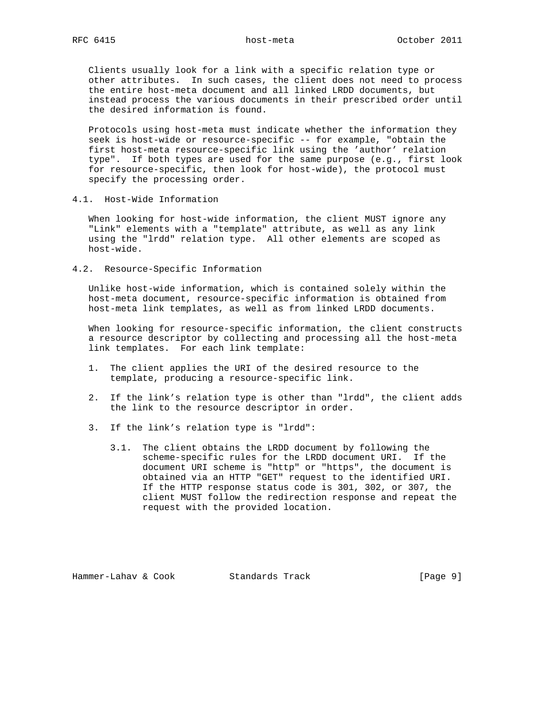Clients usually look for a link with a specific relation type or other attributes. In such cases, the client does not need to process the entire host-meta document and all linked LRDD documents, but instead process the various documents in their prescribed order until the desired information is found.

 Protocols using host-meta must indicate whether the information they seek is host-wide or resource-specific -- for example, "obtain the first host-meta resource-specific link using the 'author' relation type". If both types are used for the same purpose (e.g., first look for resource-specific, then look for host-wide), the protocol must specify the processing order.

4.1. Host-Wide Information

 When looking for host-wide information, the client MUST ignore any "Link" elements with a "template" attribute, as well as any link using the "lrdd" relation type. All other elements are scoped as host-wide.

4.2. Resource-Specific Information

 Unlike host-wide information, which is contained solely within the host-meta document, resource-specific information is obtained from host-meta link templates, as well as from linked LRDD documents.

 When looking for resource-specific information, the client constructs a resource descriptor by collecting and processing all the host-meta link templates. For each link template:

- 1. The client applies the URI of the desired resource to the template, producing a resource-specific link.
- 2. If the link's relation type is other than "lrdd", the client adds the link to the resource descriptor in order.
- 3. If the link's relation type is "lrdd":
	- 3.1. The client obtains the LRDD document by following the scheme-specific rules for the LRDD document URI. If the document URI scheme is "http" or "https", the document is obtained via an HTTP "GET" request to the identified URI. If the HTTP response status code is 301, 302, or 307, the client MUST follow the redirection response and repeat the request with the provided location.

Hammer-Lahav & Cook Standards Track [Page 9]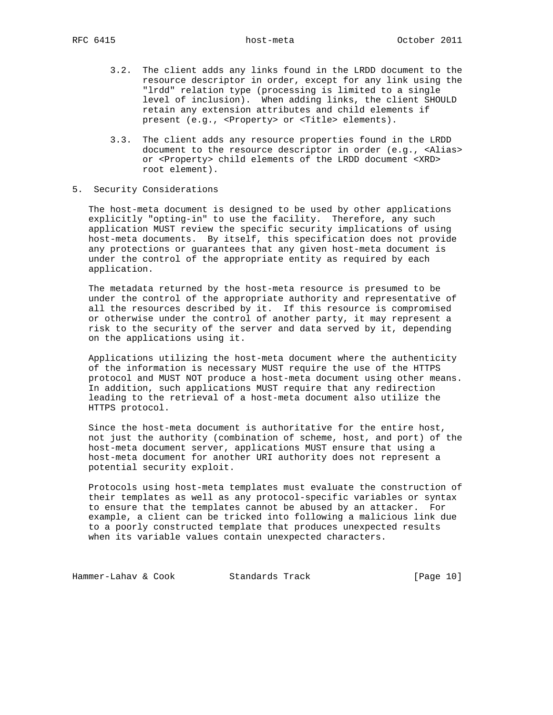- 3.2. The client adds any links found in the LRDD document to the resource descriptor in order, except for any link using the "lrdd" relation type (processing is limited to a single level of inclusion). When adding links, the client SHOULD retain any extension attributes and child elements if present (e.g., <Property> or <Title> elements).
- 3.3. The client adds any resource properties found in the LRDD document to the resource descriptor in order (e.g., <Alias> or <Property> child elements of the LRDD document <XRD> root element).
- 5. Security Considerations

 The host-meta document is designed to be used by other applications explicitly "opting-in" to use the facility. Therefore, any such application MUST review the specific security implications of using host-meta documents. By itself, this specification does not provide any protections or guarantees that any given host-meta document is under the control of the appropriate entity as required by each application.

 The metadata returned by the host-meta resource is presumed to be under the control of the appropriate authority and representative of all the resources described by it. If this resource is compromised or otherwise under the control of another party, it may represent a risk to the security of the server and data served by it, depending on the applications using it.

 Applications utilizing the host-meta document where the authenticity of the information is necessary MUST require the use of the HTTPS protocol and MUST NOT produce a host-meta document using other means. In addition, such applications MUST require that any redirection leading to the retrieval of a host-meta document also utilize the HTTPS protocol.

 Since the host-meta document is authoritative for the entire host, not just the authority (combination of scheme, host, and port) of the host-meta document server, applications MUST ensure that using a host-meta document for another URI authority does not represent a potential security exploit.

 Protocols using host-meta templates must evaluate the construction of their templates as well as any protocol-specific variables or syntax to ensure that the templates cannot be abused by an attacker. For example, a client can be tricked into following a malicious link due to a poorly constructed template that produces unexpected results when its variable values contain unexpected characters.

Hammer-Lahav & Cook Standards Track [Page 10]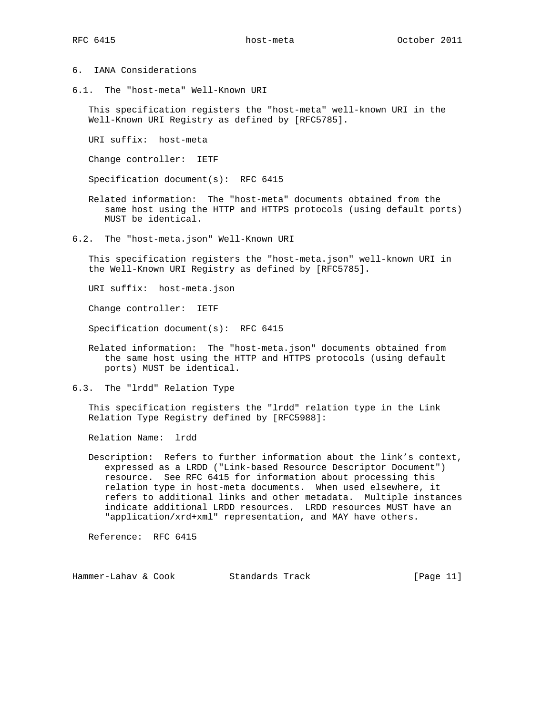- 6. IANA Considerations
- 6.1. The "host-meta" Well-Known URI

 This specification registers the "host-meta" well-known URI in the Well-Known URI Registry as defined by [RFC5785].

URI suffix: host-meta

Change controller: IETF

Specification document(s): RFC 6415

- Related information: The "host-meta" documents obtained from the same host using the HTTP and HTTPS protocols (using default ports) MUST be identical.
- 6.2. The "host-meta.json" Well-Known URI

 This specification registers the "host-meta.json" well-known URI in the Well-Known URI Registry as defined by [RFC5785].

URI suffix: host-meta.json

Change controller: IETF

Specification document(s): RFC 6415

- Related information: The "host-meta.json" documents obtained from the same host using the HTTP and HTTPS protocols (using default ports) MUST be identical.
- 6.3. The "lrdd" Relation Type

 This specification registers the "lrdd" relation type in the Link Relation Type Registry defined by [RFC5988]:

Relation Name: lrdd

 Description: Refers to further information about the link's context, expressed as a LRDD ("Link-based Resource Descriptor Document") resource. See RFC 6415 for information about processing this relation type in host-meta documents. When used elsewhere, it refers to additional links and other metadata. Multiple instances indicate additional LRDD resources. LRDD resources MUST have an "application/xrd+xml" representation, and MAY have others.

Reference: RFC 6415

Hammer-Lahav & Cook Standards Track [Page 11]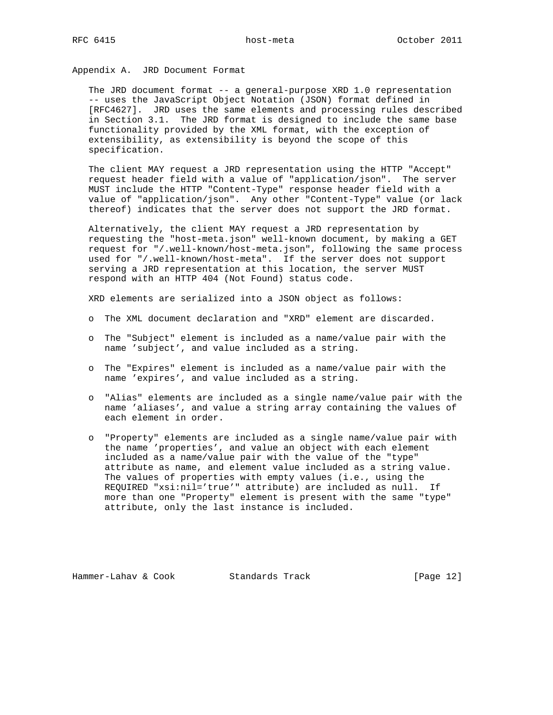Appendix A. JRD Document Format

 The JRD document format -- a general-purpose XRD 1.0 representation -- uses the JavaScript Object Notation (JSON) format defined in [RFC4627]. JRD uses the same elements and processing rules described in Section 3.1. The JRD format is designed to include the same base functionality provided by the XML format, with the exception of extensibility, as extensibility is beyond the scope of this specification.

 The client MAY request a JRD representation using the HTTP "Accept" request header field with a value of "application/json". The server MUST include the HTTP "Content-Type" response header field with a value of "application/json". Any other "Content-Type" value (or lack thereof) indicates that the server does not support the JRD format.

 Alternatively, the client MAY request a JRD representation by requesting the "host-meta.json" well-known document, by making a GET request for "/.well-known/host-meta.json", following the same process used for "/.well-known/host-meta". If the server does not support serving a JRD representation at this location, the server MUST respond with an HTTP 404 (Not Found) status code.

XRD elements are serialized into a JSON object as follows:

- o The XML document declaration and "XRD" element are discarded.
- o The "Subject" element is included as a name/value pair with the name 'subject', and value included as a string.
- o The "Expires" element is included as a name/value pair with the name 'expires', and value included as a string.
- o "Alias" elements are included as a single name/value pair with the name 'aliases', and value a string array containing the values of each element in order.
- o "Property" elements are included as a single name/value pair with the name 'properties', and value an object with each element included as a name/value pair with the value of the "type" attribute as name, and element value included as a string value. The values of properties with empty values (i.e., using the REQUIRED "xsi:nil='true'" attribute) are included as null. If more than one "Property" element is present with the same "type" attribute, only the last instance is included.

Hammer-Lahav & Cook Standards Track [Page 12]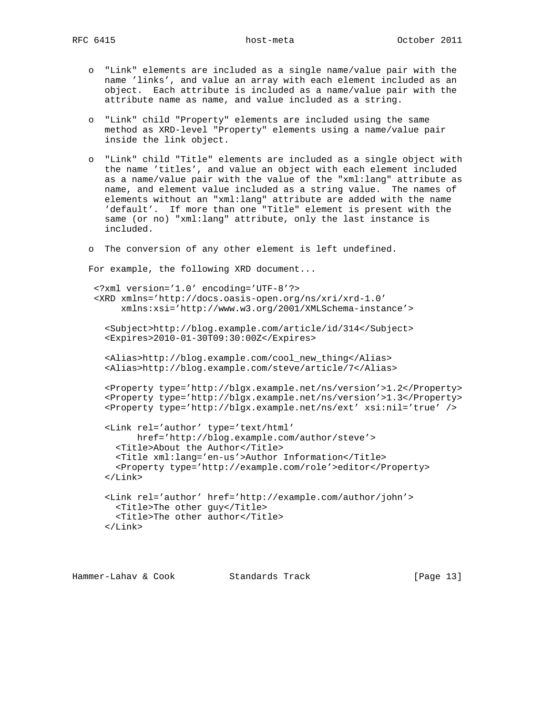- o "Link" elements are included as a single name/value pair with the name 'links', and value an array with each element included as an object. Each attribute is included as a name/value pair with the attribute name as name, and value included as a string.
- o "Link" child "Property" elements are included using the same method as XRD-level "Property" elements using a name/value pair inside the link object.
- o "Link" child "Title" elements are included as a single object with the name 'titles', and value an object with each element included as a name/value pair with the value of the "xml:lang" attribute as name, and element value included as a string value. The names of elements without an "xml:lang" attribute are added with the name 'default'. If more than one "Title" element is present with the same (or no) "xml:lang" attribute, only the last instance is included.
- o The conversion of any other element is left undefined.

For example, the following XRD document...

```
 <?xml version='1.0' encoding='UTF-8'?>
 <XRD xmlns='http://docs.oasis-open.org/ns/xri/xrd-1.0'
     xmlns:xsi='http://www.w3.org/2001/XMLSchema-instance'>
```

```
 <Subject>http://blog.example.com/article/id/314</Subject>
 <Expires>2010-01-30T09:30:00Z</Expires>
```

```
 <Alias>http://blog.example.com/cool_new_thing</Alias>
 <Alias>http://blog.example.com/steve/article/7</Alias>
```

```
 <Property type='http://blgx.example.net/ns/version'>1.2</Property>
 <Property type='http://blgx.example.net/ns/version'>1.3</Property>
 <Property type='http://blgx.example.net/ns/ext' xsi:nil='true' />
```

```
 <Link rel='author' type='text/html'
      href='http://blog.example.com/author/steve'>
   <Title>About the Author</Title>
   <Title xml:lang='en-us'>Author Information</Title>
   <Property type='http://example.com/role'>editor</Property>
 </Link>
 <Link rel='author' href='http://example.com/author/john'>
```

```
 <Title>The other guy</Title>
   <Title>The other author</Title>
 </Link>
```

```
Hammer-Lahav & Cook Standards Track [Page 13]
```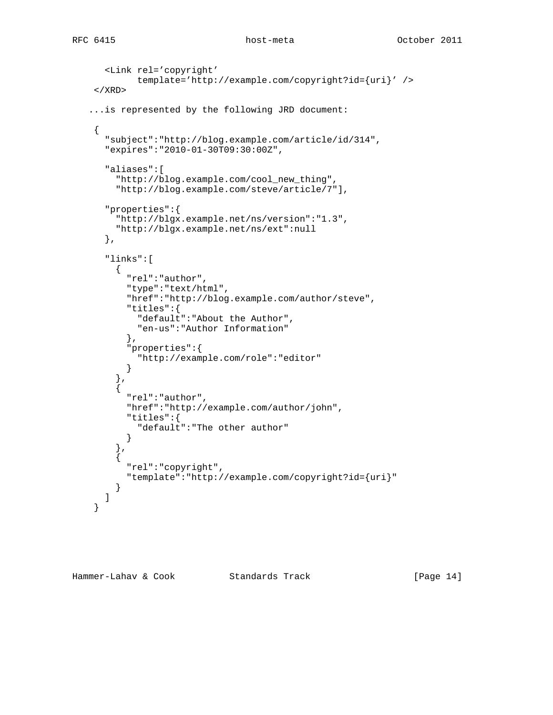```
 <Link rel='copyright'
              template='http://example.com/copyright?id={uri}' />
    \langle / XRD\rangle ...is represented by the following JRD document:
     {
       "subject":"http://blog.example.com/article/id/314",
       "expires":"2010-01-30T09:30:00Z",
       "aliases":[
         "http://blog.example.com/cool_new_thing",
         "http://blog.example.com/steve/article/7"],
       "properties":{
         "http://blgx.example.net/ns/version":"1.3",
         "http://blgx.example.net/ns/ext":null
       },
       "links":[
         {
           "rel":"author",
           "type":"text/html",
           "href":"http://blog.example.com/author/steve",
            "titles":{
              "default":"About the Author",
              "en-us":"Author Information"
           },
            "properties":{
              "http://example.com/role":"editor"
 }
         },
\{ "rel":"author",
            "href":"http://example.com/author/john",
            "titles":{
             "default":"The other author"
           }
         },
\left\{ \begin{array}{c} \end{array} \right. "rel":"copyright",
           "template":"http://example.com/copyright?id={uri}"
         }
       ]
     }
```
Hammer-Lahav & Cook Standards Track [Page 14]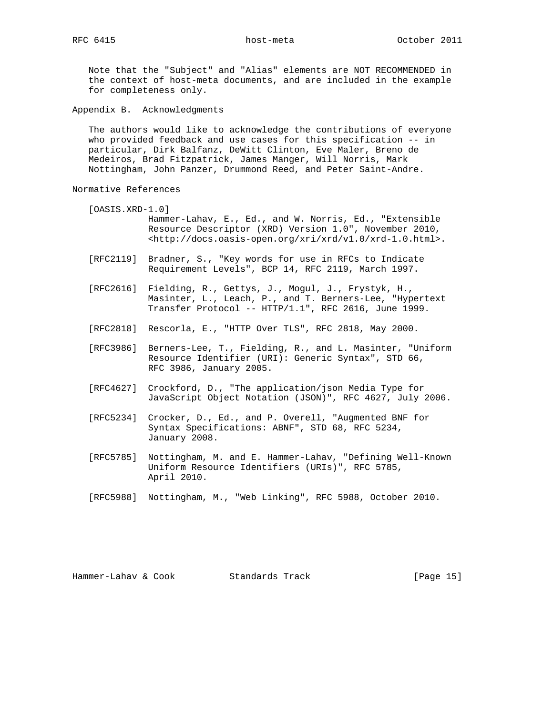Note that the "Subject" and "Alias" elements are NOT RECOMMENDED in the context of host-meta documents, and are included in the example for completeness only.

Appendix B. Acknowledgments

 The authors would like to acknowledge the contributions of everyone who provided feedback and use cases for this specification -- in particular, Dirk Balfanz, DeWitt Clinton, Eve Maler, Breno de Medeiros, Brad Fitzpatrick, James Manger, Will Norris, Mark Nottingham, John Panzer, Drummond Reed, and Peter Saint-Andre.

Normative References

- [OASIS.XRD-1.0] Hammer-Lahav, E., Ed., and W. Norris, Ed., "Extensible Resource Descriptor (XRD) Version 1.0", November 2010, <http://docs.oasis-open.org/xri/xrd/v1.0/xrd-1.0.html>.
- [RFC2119] Bradner, S., "Key words for use in RFCs to Indicate Requirement Levels", BCP 14, RFC 2119, March 1997.
- [RFC2616] Fielding, R., Gettys, J., Mogul, J., Frystyk, H., Masinter, L., Leach, P., and T. Berners-Lee, "Hypertext Transfer Protocol -- HTTP/1.1", RFC 2616, June 1999.
- [RFC2818] Rescorla, E., "HTTP Over TLS", RFC 2818, May 2000.
- [RFC3986] Berners-Lee, T., Fielding, R., and L. Masinter, "Uniform Resource Identifier (URI): Generic Syntax", STD 66, RFC 3986, January 2005.
- [RFC4627] Crockford, D., "The application/json Media Type for JavaScript Object Notation (JSON)", RFC 4627, July 2006.
- [RFC5234] Crocker, D., Ed., and P. Overell, "Augmented BNF for Syntax Specifications: ABNF", STD 68, RFC 5234, January 2008.
- [RFC5785] Nottingham, M. and E. Hammer-Lahav, "Defining Well-Known Uniform Resource Identifiers (URIs)", RFC 5785, April 2010.
- [RFC5988] Nottingham, M., "Web Linking", RFC 5988, October 2010.

Hammer-Lahav & Cook Standards Track [Page 15]